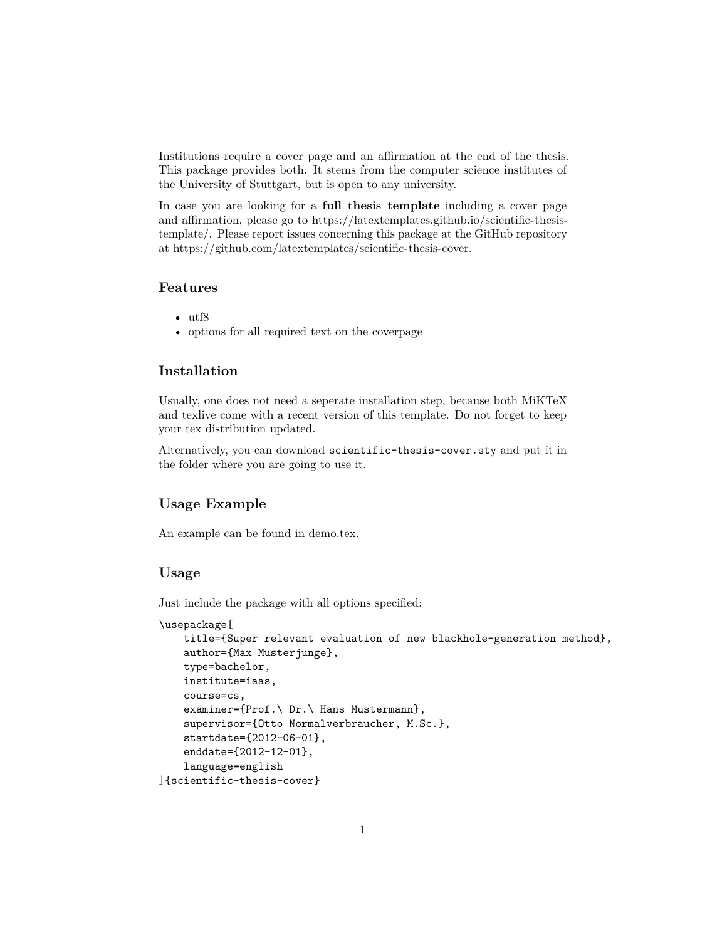Institutions require a cover page and an affirmation at the end of the thesis. This package provides both. It stems from the [computer science institutes of](http://www.informatik.uni-stuttgart.de/index.en.html) [the University of Stuttgart,](http://www.informatik.uni-stuttgart.de/index.en.html) but is open to any university.

In case you are looking for a **full thesis template** including a cover page and affirmation, please go to [https://latextemplates.github.io/scientific-thesis](https://latextemplates.github.io/scientific-thesis-template/)[template/.](https://latextemplates.github.io/scientific-thesis-template/) Please report issues concerning this package at the GitHub repository at [https://github.com/latextemplates/scientific-thesis-cover.](https://github.com/latextemplates/scientific-thesis-cover)

# **Features**

- $\bullet$  utf<sub>8</sub>
- options for all required text on the coverpage

# **Installation**

Usually, one does not need a seperate installation step, because both MiKTeX and texlive come with a recent version of this template. Do not forget to [keep](https://tex.stackexchange.com/q/55437/9075) [your tex distribution updated.](https://tex.stackexchange.com/q/55437/9075)

Alternatively, you can download scientific-thesis-cover.sty and put it in the folder where you are going to use it.

#### **Usage Example**

An example can be found in [demo.tex.](demo.tex)

#### **Usage**

```
Just include the package with all options specified:
\usepackage[
    title={Super relevant evaluation of new blackhole-generation method},
    author={Max Musterjunge},
    type=bachelor,
    institute=iaas,
    course=cs,
    examiner={Prof.\ Dr.\ Hans Mustermann},
    supervisor={Otto Normalverbraucher, M.Sc.},
    startdate={2012-06-01},
    enddate={2012-12-01},
    language=english
]{scientific-thesis-cover}
```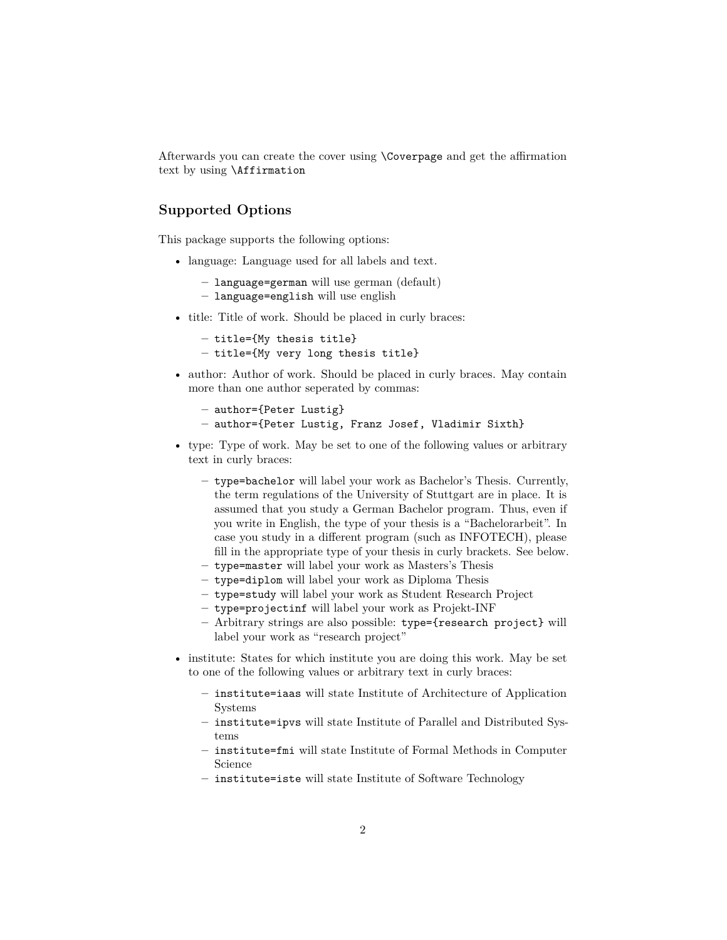Afterwards you can create the cover using \Coverpage and get the affirmation text by using \Affirmation

### **Supported Options**

This package supports the following options:

- language: Language used for all labels and text.
	- **–** language=german will use german (default)
	- **–** language=english will use english
- title: Title of work. Should be placed in curly braces:

```
– title={My thesis title}
– title={My very long thesis title}
```
• author: Author of work. Should be placed in curly braces. May contain more than one author seperated by commas:

```
– author={Peter Lustig}
```

```
– author={Peter Lustig, Franz Josef, Vladimir Sixth}
```
- type: Type of work. May be set to one of the following values or arbitrary text in curly braces:
	- **–** type=bachelor will label your work as Bachelor's Thesis. Currently, the term regulations of the University of Stuttgart are in place. It is assumed that you study a German Bachelor program. Thus, even if you write in English, the type of your thesis is a "Bachelorarbeit". In case you study in a different program (such as [INFOTECH\)](https://www.uni-stuttgart.de/infotech/), please fill in the appropriate type of your thesis in curly brackets. See below.
	- **–** type=master will label your work as Masters's Thesis
	- **–** type=diplom will label your work as Diploma Thesis
	- **–** type=study will label your work as Student Research Project
	- **–** type=projectinf will label your work as Projekt-INF
	- **–** Arbitrary strings are also possible: type={research project} will label your work as "research project"
- institute: States for which institute you are doing this work. May be set to one of the following values or arbitrary text in curly braces:
	- **–** institute=iaas will state Institute of Architecture of Application Systems
	- **–** institute=ipvs will state Institute of Parallel and Distributed Systems
	- **–** institute=fmi will state Institute of Formal Methods in Computer Science
	- **–** institute=iste will state Institute of Software Technology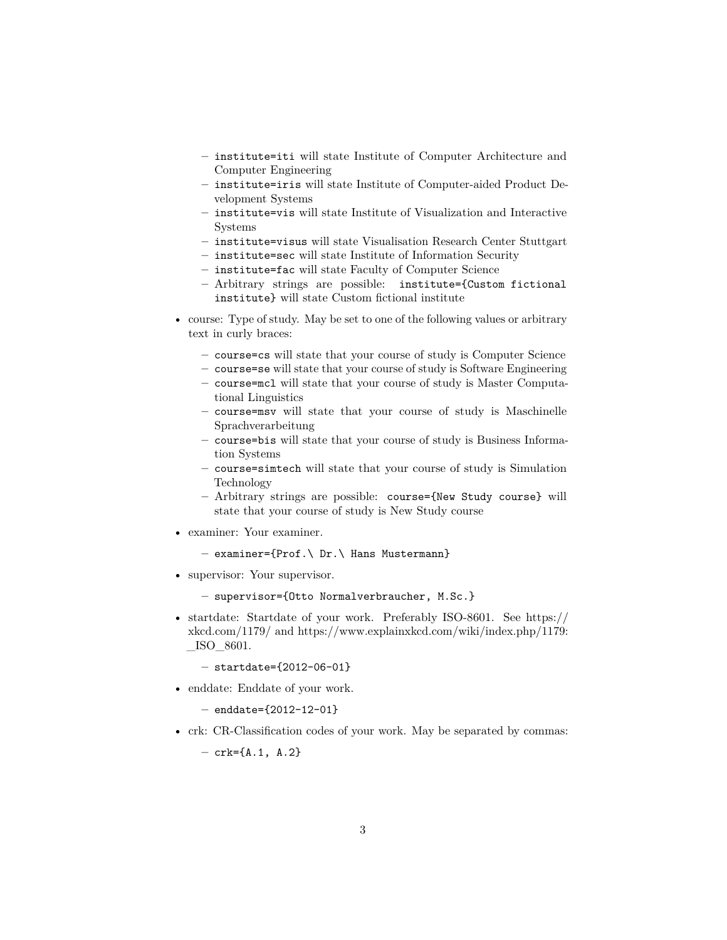- **–** institute=iti will state Institute of Computer Architecture and Computer Engineering
- **–** institute=iris will state Institute of Computer-aided Product Development Systems
- **–** institute=vis will state Institute of Visualization and Interactive Systems
- **–** institute=visus will state Visualisation Research Center Stuttgart
- **–** institute=sec will state Institute of Information Security
- **–** institute=fac will state Faculty of Computer Science
- **–** Arbitrary strings are possible: institute={Custom fictional institute} will state Custom fictional institute
- course: Type of study. May be set to one of the following values or arbitrary text in curly braces:
	- **–** course=cs will state that your course of study is Computer Science
	- **–** course=se will state that your course of study is Software Engineering
	- **–** course=mcl will state that your course of study is Master Computational Linguistics
	- **–** course=msv will state that your course of study is Maschinelle Sprachverarbeitung
	- **–** course=bis will state that your course of study is Business Information Systems
	- **–** course=simtech will state that your course of study is Simulation Technology
	- **–** Arbitrary strings are possible: course={New Study course} will state that your course of study is New Study course
- examiner: Your examiner.
	- **–** examiner={Prof.\ Dr.\ Hans Mustermann}
- supervisor: Your supervisor.
	- **–** supervisor={Otto Normalverbraucher, M.Sc.}
- startdate: Startdate of your work. Preferably ISO-8601. See [https://](https://xkcd.com/1179/) [xkcd.com/1179/](https://xkcd.com/1179/) and [https://www.explainxkcd.com/wiki/index.php/1179:](https://www.explainxkcd.com/wiki/index.php/1179:_ISO_8601)  $\_\$ ISO $\_\$ 8601.

**–** startdate={2012-06-01}

• enddate: Enddate of your work.

**–** enddate={2012-12-01}

• crk: CR-Classification codes of your work. May be separated by commas:

**–** crk={A.1, A.2}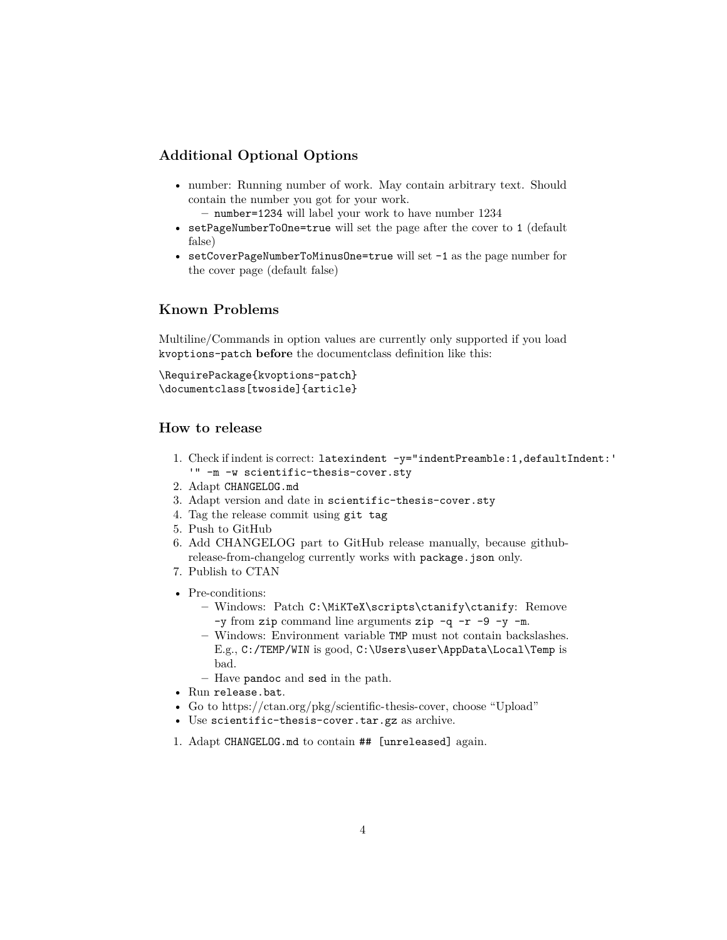## **Additional Optional Options**

• number: Running number of work. May contain arbitrary text. Should contain the number you got for your work.

**–** number=1234 will label your work to have number 1234

- setPageNumberToOne=true will set the page after the cover to 1 (default false)
- setCoverPageNumberToMinusOne=true will set -1 as the page number for the cover page (default false)

# **Known Problems**

Multiline/Commands in option values are currently only supported if you load kvoptions-patch **before** the documentclass definition like this:

\RequirePackage{kvoptions-patch} \documentclass[twoside]{article}

## **How to release**

- 1. Check if indent is correct: latexindent -y="indentPreamble:1,defaultIndent:' '" -m -w scientific-thesis-cover.sty
- 2. Adapt CHANGELOG.md
- 3. Adapt version and date in scientific-thesis-cover.sty
- 4. Tag the release commit using git tag
- 5. Push to GitHub
- 6. Add CHANGELOG part to GitHub release manually, because [github](https://github.com/MoOx/github-release-from-changelog)[release-from-changelog](https://github.com/MoOx/github-release-from-changelog) currently works with package.json only.
- 7. Publish to CTAN
- Pre-conditions:
	- **–** Windows: Patch C:\MiKTeX\scripts\ctanify\ctanify: Remove -y from zip command line arguments zip  $-q$  -r -9 -y -m.
	- **–** Windows: Environment variable TMP must not contain backslashes. E.g., C:/TEMP/WIN is good, C:\Users\user\AppData\Local\Temp is bad.
	- **–** Have pandoc and sed in the path.
- Run release.bat.
- Go to [https://ctan.org/pkg/scientific-thesis-cover,](https://ctan.org/pkg/scientific-thesis-cover) choose "Upload"
- Use scientific-thesis-cover.tar.gz as archive.
- 1. Adapt CHANGELOG.md to contain ## [unreleased] again.